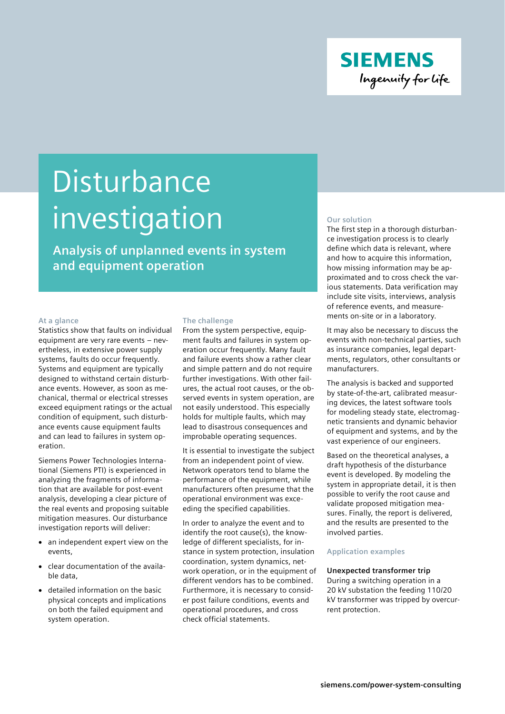

# **Disturbance** investigation

**Analysis of unplanned events in system and equipment operation**

# **At a glance**

Statistics show that faults on individual equipment are very rare events – nevertheless, in extensive power supply systems, faults do occur frequently. Systems and equipment are typically designed to withstand certain disturbance events. However, as soon as mechanical, thermal or electrical stresses exceed equipment ratings or the actual condition of equipment, such disturbance events cause equipment faults and can lead to failures in system operation.

Siemens Power Technologies International (Siemens PTI) is experienced in analyzing the fragments of information that are available for post-event analysis, developing a clear picture of the real events and proposing suitable mitigation measures. Our disturbance investigation reports will deliver:

- an independent expert view on the events,
- clear documentation of the available data,
- detailed information on the basic physical concepts and implications on both the failed equipment and system operation.

# **The challenge**

From the system perspective, equipment faults and failures in system operation occur frequently. Many fault and failure events show a rather clear and simple pattern and do not require further investigations. With other failures, the actual root causes, or the observed events in system operation, are not easily understood. This especially holds for multiple faults, which may lead to disastrous consequences and improbable operating sequences.

It is essential to investigate the subject from an independent point of view. Network operators tend to blame the performance of the equipment, while manufacturers often presume that the operational environment was exceeding the specified capabilities.

In order to analyze the event and to identify the root cause(s), the knowledge of different specialists, for instance in system protection, insulation coordination, system dynamics, network operation, or in the equipment of different vendors has to be combined. Furthermore, it is necessary to consider post failure conditions, events and operational procedures, and cross check official statements.

#### **Our solution**

The first step in a thorough disturbance investigation process is to clearly define which data is relevant, where and how to acquire this information, how missing information may be approximated and to cross check the various statements. Data verification may include site visits, interviews, analysis of reference events, and measurements on-site or in a laboratory.

It may also be necessary to discuss the events with non-technical parties, such as insurance companies, legal departments, regulators, other consultants or manufacturers.

The analysis is backed and supported by state-of-the-art, calibrated measuring devices, the latest software tools for modeling steady state, electromagnetic transients and dynamic behavior of equipment and systems, and by the vast experience of our engineers.

Based on the theoretical analyses, a draft hypothesis of the disturbance event is developed. By modeling the system in appropriate detail, it is then possible to verify the root cause and validate proposed mitigation measures. Finally, the report is delivered, and the results are presented to the involved parties.

#### **Application examples**

# **Unexpected transformer trip**

During a switching operation in a 20 kV substation the feeding 110/20 kV transformer was tripped by overcurrent protection.